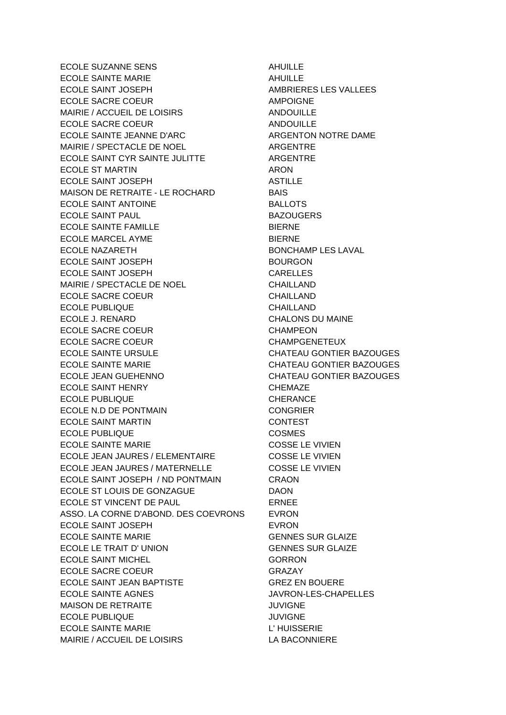ECOLE SUZANNE SENS AHUILLE ECOLE SAINTE MARIE **AHUILLE** ECOLE SAINT JOSEPH AMBRIERES LES VALLEES ECOLE SACRE COEUR **AMPOIGNE** MAIRIE / ACCUEIL DE LOISIRS ANDOUILLE ECOLE SACRE COEUR ANDOUILLE ECOLE SAINTE JEANNE D'ARC ARGENTON NOTRE DAME MAIRIE / SPECTACLE DE NOEL ARGENTRE ECOLE SAINT CYR SAINTE JULITTE ARGENTRE ECOLE ST MARTIN ARON ECOLE SAINT JOSEPH ASTILLE MAISON DE RETRAITE - LE ROCHARD BAIS ECOLE SAINT ANTOINE **BALLOTS** ECOLE SAINT PAUL **BAZOUGERS** ECOLE SAINTE FAMILLE BIERNE ECOLE MARCEL AYME BIERNE ECOLE NAZARETH BONCHAMP LES LAVAL ECOLE SAINT JOSEPH BOURGON ECOLE SAINT JOSEPH CARELLES MAIRIE / SPECTACLE DE NOEL CHAILLAND ECOLE SACRE COEUR CHAILLAND ECOLE PUBLIQUE CHAILLAND ECOLE J. RENARD CHALONS DU MAINE ECOLE SACRE COEUR CHAMPEON ECOLE SACRE COEUR CHAMPGENETEUX ECOLE SAINTE URSULE CHATEAU GONTIER BAZOUGES ECOLE SAINTE MARIE **CHATEAU GONTIER BAZOUGES** ECOLE JEAN GUEHENNO CHATEAU GONTIER BAZOUGES ECOLE SAINT HENRY CHEMAZE ECOLE PUBLIQUE CHERANCE ECOLE N.D DE PONTMAIN CONGRIER ECOLE SAINT MARTIN **ECOLE SAINT MARTIN** ECOLE PUBLIQUE **COSMES** ECOLE SAINTE MARIE COSSE LE VIVIEN ECOLE JEAN JAURES / ELEMENTAIRE COSSE LE VIVIEN ECOLE JEAN JAURES / MATERNELLE COSSE LE VIVIEN ECOLE SAINT JOSEPH / ND PONTMAIN CRAON ECOLE ST LOUIS DE GONZAGUE DAON ECOLE ST VINCENT DE PAUL ERNEE ASSO. LA CORNE D'ABOND. DES COEVRONS EVRON ECOLE SAINT JOSEPH EVRON ECOLE SAINTE MARIE **ECOLE SAINTE MARIE** ECOLE LE TRAIT D' UNION GENNES SUR GLAIZE ECOLE SAINT MICHEL **GORRON** ECOLE SACRE COEUR GRAZAY ECOLE SAINT JEAN BAPTISTE GREZ EN BOUERE ECOLE SAINTE AGNES JAVRON-LES-CHAPELLES MAISON DE RETRAITE JUVIGNE ECOLE PUBLIQUE **AUXIOUS COLE PUBLIQUE** ECOLE SAINTE MARIE L'HUISSERIE MAIRIE / ACCUEIL DE LOISIRS LA BACONNIERE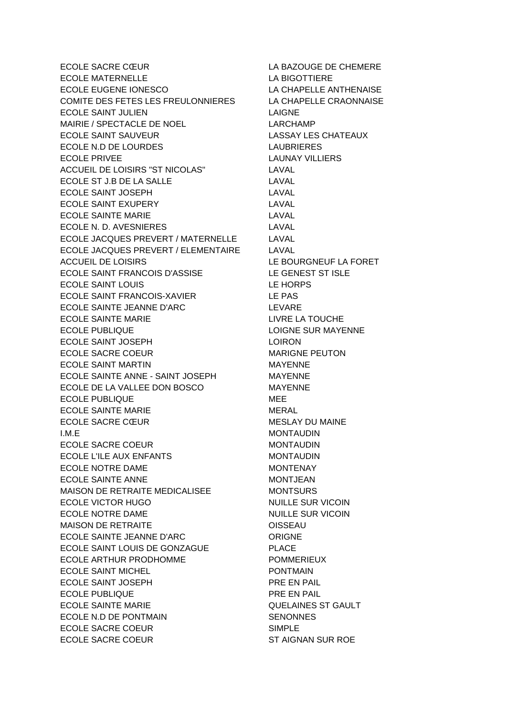ECOLE SACRE CŒUR LA BAZOUGE DE CHEMERE ECOLE MATERNELLE LA BIGOTTIERE ECOLE EUGENE IONESCO LA CHAPELLE ANTHENAISE COMITE DES FETES LES FREULONNIERES LA CHAPELLE CRAONNAISE ECOLE SAINT JULIEN LAIGNE MAIRIE / SPECTACLE DE NOEL LARCHAMP ECOLE SAINT SAUVEUR LASSAY LES CHATEAUX ECOLE N.D DE LOURDES LAUBRIERES ECOLE PRIVEE **LAUNAY VILLIERS** ACCUEIL DE LOISIRS "ST NICOLAS" LAVAL ECOLE ST J.B DE LA SALLE LAVAL ECOLE SAINT JOSEPH LAVAL ECOLE SAINT EXUPERY LAVAL ECOLE SAINTE MARIE LAVAL ECOLE N. D. AVESNIERES LAVAL ECOLE JACQUES PREVERT / MATERNELLE LAVAL ECOLE JACQUES PREVERT / ELEMENTAIRE LAVAL ACCUEIL DE LOISIRS LE BOURGNEUF LA FORET ECOLE SAINT FRANCOIS D'ASSISE LE GENEST ST ISLE ECOLE SAINT LOUIS LE HORPS ECOLE SAINT FRANCOIS-XAVIER LE PAS ECOLE SAINTE JEANNE D'ARC LEVARE ECOLE SAINTE MARIE **LIVRE LA TOUCHE** ECOLE PUBLIQUE **LOIGNE SUR MAYENNE** ECOLE SAINT JOSEPH LOIRON ECOLE SACRE COEUR MARIGNE PEUTON ECOLE SAINT MARTIN MAYENNE ECOLE SAINTE ANNE - SAINT JOSEPH MAYENNE ECOLE DE LA VALLEE DON BOSCO MAYENNE ECOLE PUBLIQUE MEE ECOLE SAINTE MARIE MERAL ECOLE SACRE CŒUR
NESLAY DU MAINE I.M.E MONTAUDIN ECOLE SACRE COEUR MONTAUDIN ECOLE L'ILE AUX ENFANTS MONTAUDIN ECOLE NOTRE DAME MONTENAY ECOLE SAINTE ANNE MONTJEAN MAISON DE RETRAITE MEDICALISEE MONTSURS ECOLE VICTOR HUGO NUILLE SUR VICOIN ECOLE NOTRE DAME NUILLE SUR VICOIN MAISON DE RETRAITE **OISSEAU** ECOLE SAINTE JEANNE D'ARC ORIGNE ECOLE SAINT LOUIS DE GONZAGUE PLACE ECOLE ARTHUR PRODHOMME POMMERIEUX ECOLE SAINT MICHEL **EXAMPLE SAINT MICHEL** ECOLE SAINT JOSEPH PRE EN PAIL ECOLE PUBLIQUE **ECOLE AUSTRALIA EN PRE EN PAIL** ECOLE SAINTE MARIE QUELAINES ST GAULT ECOLE N.D DE PONTMAIN SENONNES ECOLE SACRE COEUR SIMPLE ECOLE SACRE COEUR ST AIGNAN SUR ROE